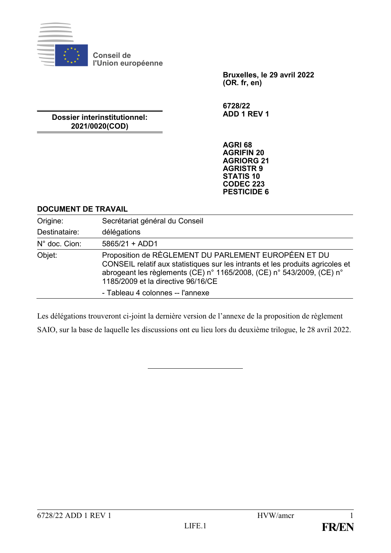

**Conseil de l'Union européenne**

> **Bruxelles, le 29 avril 2022 (OR. fr, en)**

**6728/22 ADD 1 REV 1**

**Dossier interinstitutionnel: 2021/0020(COD)**

> **AGRI 68 AGRIFIN 20 AGRIORG 21 AGRISTR 9 STATIS 10 CODEC 223 PESTICIDE 6**

#### **DOCUMENT DE TRAVAIL**

| Origine:      | Secrétariat général du Conseil                                                                                                                                                                                                                                                            |
|---------------|-------------------------------------------------------------------------------------------------------------------------------------------------------------------------------------------------------------------------------------------------------------------------------------------|
| Destinataire: | délégations                                                                                                                                                                                                                                                                               |
| N° doc. Cion: | $5865/21 + ADD1$                                                                                                                                                                                                                                                                          |
| Objet:        | Proposition de RÈGLEMENT DU PARLEMENT EUROPÉEN ET DU<br>CONSEIL relatif aux statistiques sur les intrants et les produits agricoles et<br>abrogeant les règlements (CE) n° 1165/2008, (CE) n° 543/2009, (CE) n°<br>1185/2009 et la directive 96/16/CE<br>- Tableau 4 colonnes -- l'annexe |

Les délégations trouveront ci-joint la dernière version de l'annexe de la proposition de règlement

SAIO, sur la base de laquelle les discussions ont eu lieu lors du deuxième trilogue, le 28 avril 2022.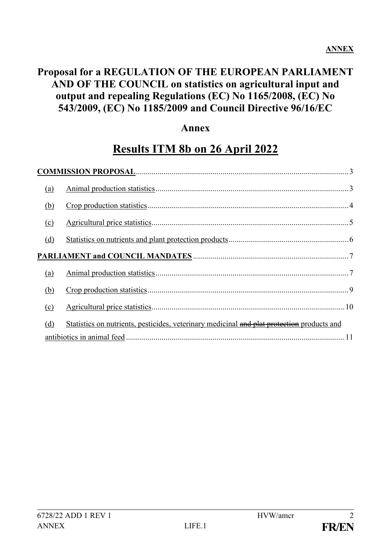# **Proposal for a REGULATION OF THE EUROPEAN PARLIAMENT AND OF THE COUNCIL on statistics on agricultural input and output and repealing Regulations (EC) No 1165/2008, (EC) No 543/2009, (EC) No 1185/2009 and Council Directive 96/16/EC**

#### **Annex**

# **Results ITM 8b on 26 April 2022**

| (a) |                                                                                            |
|-----|--------------------------------------------------------------------------------------------|
| (b) |                                                                                            |
| (c) |                                                                                            |
| (d) |                                                                                            |
|     |                                                                                            |
| (a) |                                                                                            |
| (b) |                                                                                            |
| (c) |                                                                                            |
| (d) | Statistics on nutrients, pesticides, veterinary medicinal and plat protection products and |
|     |                                                                                            |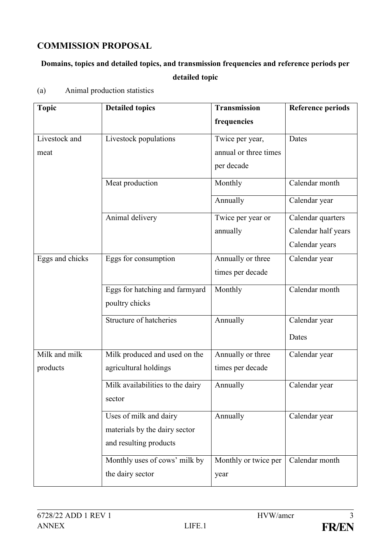#### <span id="page-2-0"></span>**COMMISSION PROPOSAL**

# **Domains, topics and detailed topics, and transmission frequencies and reference periods per detailed topic**

| <b>Topic</b>    | <b>Detailed topics</b>           | Transmission          | <b>Reference periods</b> |
|-----------------|----------------------------------|-----------------------|--------------------------|
|                 |                                  | frequencies           |                          |
| Livestock and   | Livestock populations            | Twice per year,       | Dates                    |
| meat            |                                  | annual or three times |                          |
|                 |                                  | per decade            |                          |
|                 | Meat production                  | Monthly               | Calendar month           |
|                 |                                  | Annually              | Calendar year            |
|                 | Animal delivery                  | Twice per year or     | Calendar quarters        |
|                 |                                  | annually              | Calendar half years      |
|                 |                                  |                       | Calendar years           |
| Eggs and chicks | Eggs for consumption             | Annually or three     | Calendar year            |
|                 |                                  | times per decade      |                          |
|                 | Eggs for hatching and farmyard   | Monthly               | Calendar month           |
|                 | poultry chicks                   |                       |                          |
|                 | Structure of hatcheries          | Annually              | Calendar year            |
|                 |                                  |                       | Dates                    |
| Milk and milk   | Milk produced and used on the    | Annually or three     | Calendar year            |
| products        | agricultural holdings            | times per decade      |                          |
|                 | Milk availabilities to the dairy | Annually              | Calendar year            |
|                 | sector                           |                       |                          |
|                 | Uses of milk and dairy           | Annually              | Calendar year            |
|                 | materials by the dairy sector    |                       |                          |
|                 | and resulting products           |                       |                          |
|                 | Monthly uses of cows' milk by    | Monthly or twice per  | Calendar month           |
|                 | the dairy sector                 | year                  |                          |

<span id="page-2-1"></span>(a) Animal production statistics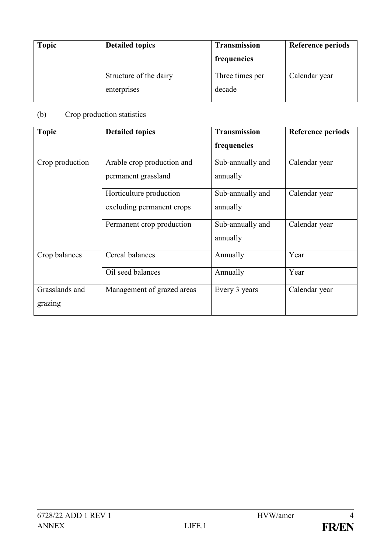| <b>Topic</b> | <b>Detailed topics</b>                | <b>Transmission</b><br>frequencies | <b>Reference periods</b> |
|--------------|---------------------------------------|------------------------------------|--------------------------|
|              | Structure of the dairy<br>enterprises | Three times per<br>decade          | Calendar year            |
|              |                                       |                                    |                          |

# <span id="page-3-0"></span>(b) Crop production statistics

| <b>Topic</b>              | <b>Detailed topics</b>                               | <b>Transmission</b>          | <b>Reference periods</b> |
|---------------------------|------------------------------------------------------|------------------------------|--------------------------|
|                           |                                                      | frequencies                  |                          |
| Crop production           | Arable crop production and<br>permanent grassland    | Sub-annually and<br>annually | Calendar year            |
|                           | Horticulture production<br>excluding permanent crops | Sub-annually and<br>annually | Calendar year            |
|                           | Permanent crop production                            | Sub-annually and<br>annually | Calendar year            |
| Crop balances             | Cereal balances                                      | Annually                     | Year                     |
|                           | Oil seed balances                                    | Annually                     | Year                     |
| Grasslands and<br>grazing | Management of grazed areas                           | Every 3 years                | Calendar year            |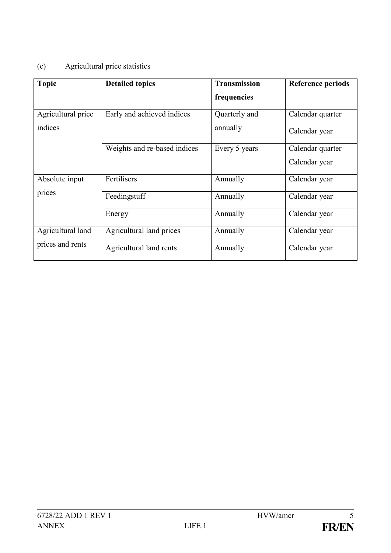# <span id="page-4-0"></span>(c) Agricultural price statistics

| <b>Topic</b>       | <b>Detailed topics</b>       | <b>Transmission</b> | <b>Reference periods</b> |
|--------------------|------------------------------|---------------------|--------------------------|
|                    |                              | frequencies         |                          |
| Agricultural price | Early and achieved indices   | Quarterly and       | Calendar quarter         |
| indices            |                              | annually            | Calendar year            |
|                    | Weights and re-based indices | Every 5 years       | Calendar quarter         |
|                    |                              |                     | Calendar year            |
| Absolute input     | Fertilisers                  | Annually            | Calendar year            |
| prices             | Feedingstuff                 | Annually            | Calendar year            |
|                    | Energy                       | Annually            | Calendar year            |
| Agricultural land  | Agricultural land prices     | Annually            | Calendar year            |
| prices and rents   | Agricultural land rents      | Annually            | Calendar year            |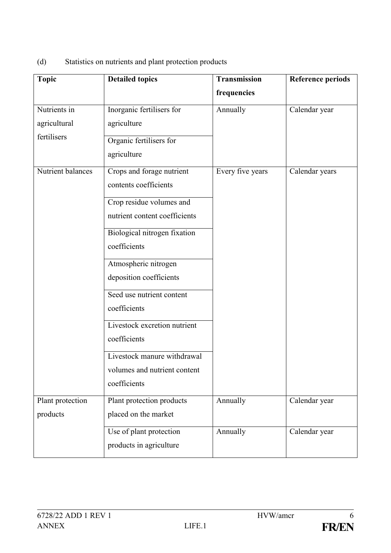<span id="page-5-0"></span>

| (d) | Statistics on nutrients and plant protection products |  |  |
|-----|-------------------------------------------------------|--|--|
|     |                                                       |  |  |
|     |                                                       |  |  |

| <b>Topic</b>                 | <b>Detailed topics</b>                                    | <b>Transmission</b> | <b>Reference periods</b> |  |
|------------------------------|-----------------------------------------------------------|---------------------|--------------------------|--|
|                              |                                                           | frequencies         |                          |  |
| Nutrients in<br>agricultural | Inorganic fertilisers for<br>agriculture                  | Annually            | Calendar year            |  |
| fertilisers                  | Organic fertilisers for                                   |                     |                          |  |
|                              | agriculture                                               |                     |                          |  |
| Nutrient balances            | Crops and forage nutrient<br>contents coefficients        | Every five years    | Calendar years           |  |
|                              | Crop residue volumes and<br>nutrient content coefficients |                     |                          |  |
|                              | Biological nitrogen fixation                              |                     |                          |  |
|                              | coefficients                                              |                     |                          |  |
|                              | Atmospheric nitrogen<br>deposition coefficients           |                     |                          |  |
|                              | Seed use nutrient content<br>coefficients                 |                     |                          |  |
|                              | Livestock excretion nutrient<br>coefficients              |                     |                          |  |
|                              | Livestock manure withdrawal                               |                     |                          |  |
|                              | volumes and nutrient content<br>coefficients              |                     |                          |  |
| Plant protection<br>products | Plant protection products<br>placed on the market         | Annually            | Calendar year            |  |
|                              |                                                           |                     |                          |  |
|                              | Use of plant protection<br>products in agriculture        | Annually            | Calendar year            |  |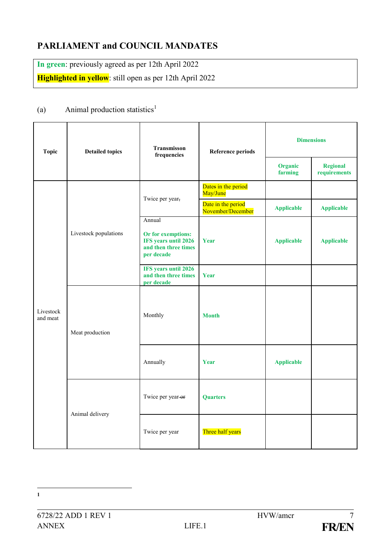# <span id="page-6-0"></span>**PARLIAMENT and COUNCIL MANDATES**

**In green**: previously agreed as per 12th April 2022 **Highlighted in yellow**: still open as per 12th April 2022

#### <span id="page-6-1"></span>(a) Animal production statistics<sup>1</sup>

| <b>Topic</b>          | <b>Detailed topics</b> | Transmisson<br>frequencies                                                                 | <b>Reference periods</b>                | <b>Dimensions</b>  |                                 |
|-----------------------|------------------------|--------------------------------------------------------------------------------------------|-----------------------------------------|--------------------|---------------------------------|
|                       |                        |                                                                                            |                                         | Organic<br>farming | <b>Regional</b><br>requirements |
|                       |                        | Twice per year,                                                                            | Dates in the period<br>May/June         |                    |                                 |
|                       |                        |                                                                                            | Date in the period<br>November/December | <b>Applicable</b>  | <b>Applicable</b>               |
| Livestock<br>and meat | Livestock populations  | Annual<br>Or for exemptions:<br>IFS years until 2026<br>and then three times<br>per decade | Year                                    | <b>Applicable</b>  | <b>Applicable</b>               |
|                       |                        | IFS years until 2026<br>and then three times<br>per decade                                 | Year                                    |                    |                                 |
|                       | Meat production        | Monthly                                                                                    | <b>Month</b>                            |                    |                                 |
|                       |                        | Annually                                                                                   | Year                                    | <b>Applicable</b>  |                                 |
|                       | Animal delivery        | Twice per year or                                                                          | <b>Quarters</b>                         |                    |                                 |
|                       |                        | Twice per year                                                                             | Three half years                        |                    |                                 |

<sup>&</sup>lt;u>.</u> **1**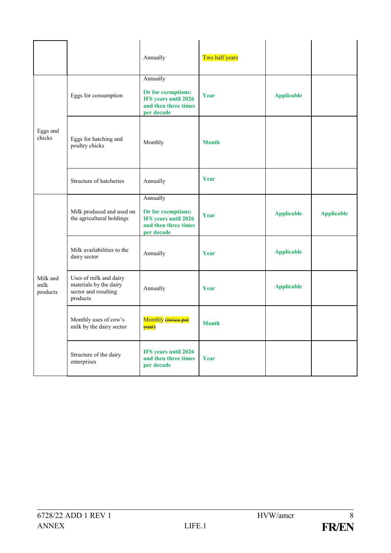|                              |                                                                                      | Annually                                                                                     | Two half years |                   |                   |
|------------------------------|--------------------------------------------------------------------------------------|----------------------------------------------------------------------------------------------|----------------|-------------------|-------------------|
| Eggs and<br>chicks           | Eggs for consumption                                                                 | Annually<br>Or for exemptions:<br>IFS years until 2026<br>and then three times<br>per decade | Year           | <b>Applicable</b> |                   |
|                              | Eggs for hatching and<br>poultry chicks                                              | Monthly                                                                                      | <b>Month</b>   |                   |                   |
|                              | Structure of hatcheries                                                              | Annually                                                                                     | Year           |                   |                   |
|                              | Milk produced and used on<br>the agricultural holdings                               | Annually<br>Or for exemptions:<br>IFS years until 2026<br>and then three times<br>per decade | Year           | <b>Applicable</b> | <b>Applicable</b> |
|                              | Milk availabilities to the<br>dairy sector                                           | Annually                                                                                     | Year           | <b>Applicable</b> |                   |
| Milk and<br>milk<br>products | Uses of milk and dairy<br>materials by the dairy<br>sector and resulting<br>products | Annually                                                                                     | Year           | <b>Applicable</b> |                   |
|                              | Monthly uses of cow's<br>milk by the dairy sector                                    | Monthly (twice per<br>year)                                                                  | <b>Month</b>   |                   |                   |
|                              | Structure of the dairy<br>enterprises                                                | IFS years until 2026<br>and then three times<br>per decade                                   | Year           |                   |                   |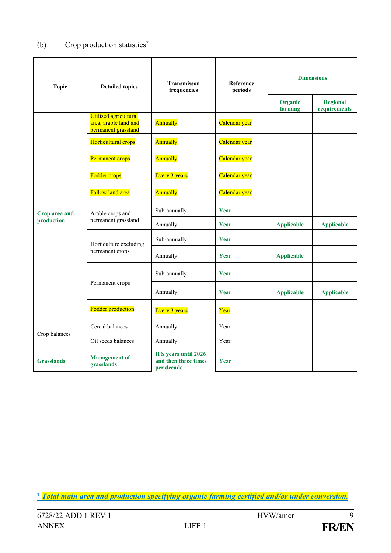### <span id="page-8-0"></span>(b) Crop production statistics<sup>2</sup>

| <b>Topic</b>      | <b>Detailed topics</b>                                                       | Transmisson<br>frequencies                                 | <b>Reference</b><br>periods | <b>Dimensions</b>  |                                 |
|-------------------|------------------------------------------------------------------------------|------------------------------------------------------------|-----------------------------|--------------------|---------------------------------|
|                   |                                                                              |                                                            |                             | Organic<br>farming | <b>Regional</b><br>requirements |
|                   | <b>Utilised agricultural</b><br>area, arable land and<br>permanent grassland | Annually                                                   | Calendar year               |                    |                                 |
|                   | Horticultural crops                                                          | Annually                                                   | Calendar year               |                    |                                 |
|                   | Permanent crops                                                              | Annually                                                   | Calendar year               |                    |                                 |
|                   | <b>Fodder crops</b>                                                          | <b>Every 3 years</b>                                       | Calendar year               |                    |                                 |
|                   | <b>Fallow land area</b>                                                      | Annually                                                   | Calendar year               |                    |                                 |
| Crop area and     | Arable crops and<br>permanent grassland                                      | Sub-annually                                               | Year                        |                    |                                 |
| production        |                                                                              | Annually                                                   | Year                        | <b>Applicable</b>  | <b>Applicable</b>               |
|                   | Horticulture excluding<br>permanent crops                                    | Sub-annually                                               | Year                        |                    |                                 |
|                   |                                                                              | Annually                                                   | Year                        | <b>Applicable</b>  |                                 |
|                   | Permanent crops                                                              | Sub-annually                                               | Year                        |                    |                                 |
|                   |                                                                              | Annually                                                   | Year                        | <b>Applicable</b>  | <b>Applicable</b>               |
|                   | <b>Fodder production</b>                                                     | <b>Every 3 years</b>                                       | Year                        |                    |                                 |
|                   | Cereal balances                                                              | Annually                                                   | Year                        |                    |                                 |
| Crop balances     | Oil seeds balances                                                           | Annually                                                   | Year                        |                    |                                 |
| <b>Grasslands</b> | <b>Management</b> of<br>grasslands                                           | IFS years until 2026<br>and then three times<br>per decade | Year                        |                    |                                 |

<span id="page-8-1"></span><u>.</u> **<sup>2</sup>** *Total main area and production specifying organic farming certified and/or under conversion.*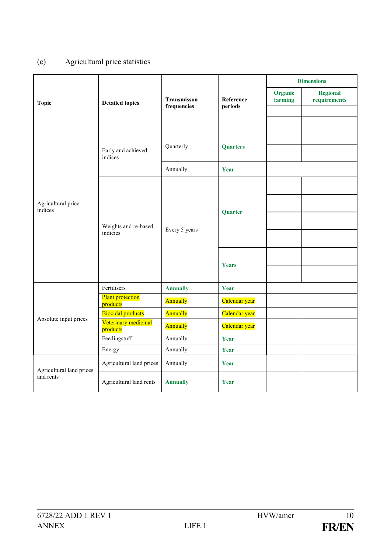### (c) Agricultural price statistics

<span id="page-9-0"></span>

|                               |                                     |                            |                      |                    | <b>Dimensions</b>               |
|-------------------------------|-------------------------------------|----------------------------|----------------------|--------------------|---------------------------------|
| <b>Topic</b>                  | <b>Detailed topics</b>              | Transmisson<br>frequencies | Reference<br>periods | Organic<br>farming | <b>Regional</b><br>requirements |
|                               |                                     |                            |                      |                    |                                 |
|                               |                                     |                            |                      |                    |                                 |
|                               |                                     |                            |                      |                    |                                 |
|                               | Early and achieved<br>indices       | Quarterly                  | <b>Quarters</b>      |                    |                                 |
|                               |                                     | Annually                   | Year                 |                    |                                 |
|                               |                                     |                            |                      |                    |                                 |
| Agricultural price<br>indices | Weights and re-based<br>indicies    | Every 5 years              | Quarter              |                    |                                 |
|                               |                                     |                            |                      |                    |                                 |
|                               |                                     |                            |                      |                    |                                 |
|                               |                                     |                            | <b>Years</b>         |                    |                                 |
|                               |                                     |                            |                      |                    |                                 |
|                               | Fertilisers                         | <b>Annually</b>            | Year                 |                    |                                 |
|                               | <b>Plant protection</b><br>products | Annually                   | Calendar year        |                    |                                 |
| Absolute input prices         | <b>Biocidal products</b>            | Annually                   | Calendar year        |                    |                                 |
|                               | Veterinary medicinal<br>products    | Annually                   | Calendar year        |                    |                                 |
|                               | Feedingstuff                        | Annually                   | Year                 |                    |                                 |
|                               | Energy                              | Annually                   | Year                 |                    |                                 |
| Agricultural land prices      | Agricultural land prices            | Annually                   | Year                 |                    |                                 |
| and rents                     | Agricultural land rents             | <b>Annually</b>            | Year                 |                    |                                 |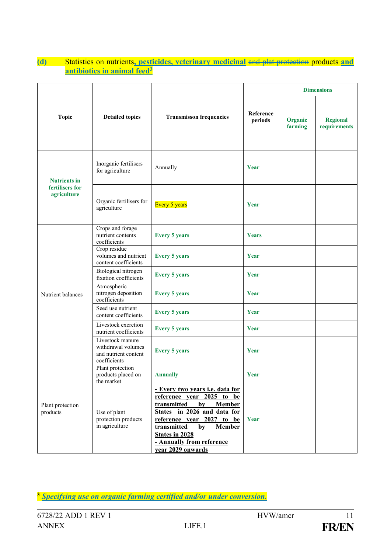#### **(d)** Statistics on nutrients**, pesticides, veterinary medicinal** and plat protection products **and antibiotics in animal feed<sup>3</sup>**

| <b>Topic</b>                                          | <b>Detailed topics</b>                                                         | <b>Transmisson frequencies</b>                                                                                                                                                                                                                                                     | Reference<br>periods | <b>Dimensions</b>  |                                 |
|-------------------------------------------------------|--------------------------------------------------------------------------------|------------------------------------------------------------------------------------------------------------------------------------------------------------------------------------------------------------------------------------------------------------------------------------|----------------------|--------------------|---------------------------------|
|                                                       |                                                                                |                                                                                                                                                                                                                                                                                    |                      | Organic<br>farming | <b>Regional</b><br>requirements |
| <b>Nutrients in</b><br>fertilisers for<br>agriculture | Inorganic fertilisers<br>for agriculture                                       | Annually                                                                                                                                                                                                                                                                           | Year                 |                    |                                 |
|                                                       | Organic fertilisers for<br>agriculture                                         | <b>Every 5 years</b>                                                                                                                                                                                                                                                               | Year                 |                    |                                 |
| Nutrient balances                                     | Crops and forage<br>nutrient contents<br>coefficients                          | <b>Every 5 years</b>                                                                                                                                                                                                                                                               | Years                |                    |                                 |
|                                                       | Crop residue<br>volumes and nutrient<br>content coefficients                   | <b>Every 5 years</b>                                                                                                                                                                                                                                                               | Year                 |                    |                                 |
|                                                       | Biological nitrogen<br>fixation coefficients                                   | <b>Every 5 years</b>                                                                                                                                                                                                                                                               | Year                 |                    |                                 |
|                                                       | Atmospheric<br>nitrogen deposition<br>coefficients                             | <b>Every 5 years</b>                                                                                                                                                                                                                                                               | Year                 |                    |                                 |
|                                                       | Seed use nutrient<br>content coefficients                                      | <b>Every 5 years</b>                                                                                                                                                                                                                                                               | Year                 |                    |                                 |
|                                                       | Livestock excretion<br>nutrient coefficients                                   | <b>Every 5 years</b>                                                                                                                                                                                                                                                               | Year                 |                    |                                 |
|                                                       | Livestock manure<br>withdrawal volumes<br>and nutrient content<br>coefficients | <b>Every 5 years</b>                                                                                                                                                                                                                                                               | Year                 |                    |                                 |
| Plant protection<br>products                          | Plant protection<br>products placed on<br>the market                           | <b>Annually</b>                                                                                                                                                                                                                                                                    | Year                 |                    |                                 |
|                                                       | Use of plant<br>protection products<br>in agriculture                          | - Every two years i.e. data for<br>reference year 2025 to be<br>transmitted<br>by<br><b>Member</b><br>States in 2026 and data for<br>reference year 2027 to<br>be<br>transmitted<br>by<br><b>Member</b><br><b>States in 2028</b><br>- Annually from reference<br>vear 2029 onwards | Year                 |                    |                                 |

**<sup>3</sup>** *Specifying use on organic farming certified and/or under conversion.*

<u>.</u>